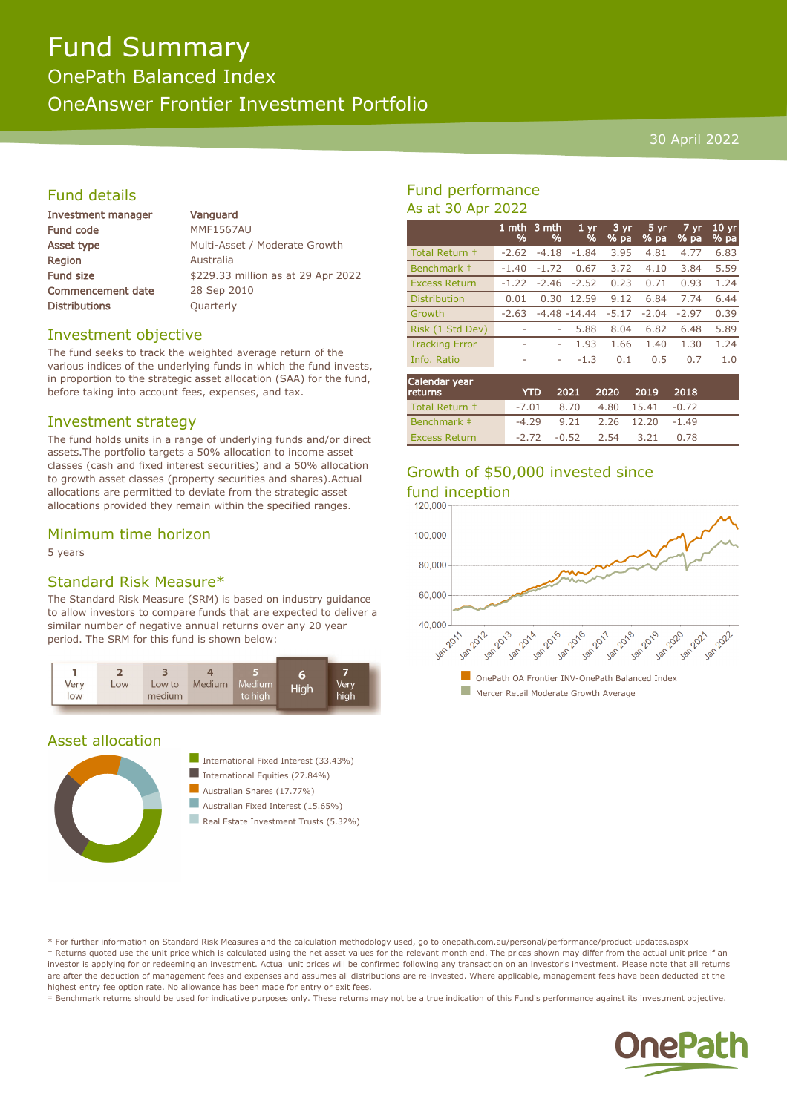# Fund Summary

OnePath Balanced Index

OneAnswer Frontier Investment Portfolio

#### 30 April 2022

#### Fund details

| <b>Investment manager</b> | Vanguard                           |
|---------------------------|------------------------------------|
| <b>Fund code</b>          | <b>MMF1567AU</b>                   |
| Asset type                | Multi-Asset / Moderate Growth      |
| <b>Region</b>             | Australia                          |
| <b>Fund size</b>          | \$229.33 million as at 29 Apr 2022 |
| <b>Commencement date</b>  | 28 Sep 2010                        |
| <b>Distributions</b>      | Quarterly                          |
|                           |                                    |

#### Investment objective

The fund seeks to track the weighted average return of the various indices of the underlying funds in which the fund invests, in proportion to the strategic asset allocation (SAA) for the fund, before taking into account fees, expenses, and tax.

#### Investment strategy

The fund holds units in a range of underlying funds and/or direct assets.The portfolio targets a 50% allocation to income asset classes (cash and fixed interest securities) and a 50% allocation to growth asset classes (property securities and shares).Actual allocations are permitted to deviate from the strategic asset allocations provided they remain within the specified ranges.

#### Minimum time horizon

5 years

#### Standard Risk Measure\*

The Standard Risk Measure (SRM) is based on industry guidance to allow investors to compare funds that are expected to deliver a similar number of negative annual returns over any 20 year period. The SRM for this fund is shown below:



#### Asset allocation



- International Fixed Interest (33.43%)
- International Equities  $(27.84\%)$

 $\blacksquare$  Australian Shares (17.77%)

- $\blacksquare$  Australian Fixed Interest (15.65%)
- **n** Real Estate Investment Trusts (5.32%)

### Fund performance As at 30 Apr 2022

|                       | 1 mth<br>% | '3 mth<br>% | 1 <sub>yr</sub><br>% | $3 \text{ yr}$<br>% pa | 5 yr<br>% pa | $7 \, yr$<br>% pa | 10 <sub>yr</sub><br>% pa |
|-----------------------|------------|-------------|----------------------|------------------------|--------------|-------------------|--------------------------|
| Total Return +        | $-2.62$    | $-4.18$     | $-1.84$              | 3.95                   | 4.81         | 4.77              | 6.83                     |
| Benchmark ‡           | $-1.40$    | $-1.72$     | 0.67                 | 3.72                   | 4.10         | 3.84              | 5.59                     |
| <b>Excess Return</b>  | $-1.22$    | $-2.46$     | $-2.52$              | 0.23                   | 0.71         | 0.93              | 1.24                     |
| <b>Distribution</b>   | 0.01       | 0.30        | 12.59                | 9.12                   | 6.84         | 7.74              | 6.44                     |
| Growth                | $-2.63$    |             | $-4.48 - 14.44$      | $-5.17$                | $-2.04$      | $-2.97$           | 0.39                     |
| Risk (1 Std Dev)      |            |             | 5.88                 | 8.04                   | 6.82         | 6.48              | 5.89                     |
| <b>Tracking Error</b> | ۰          | ٠           | 1.93                 | 1.66                   | 1.40         | 1.30              | 1.24                     |
| Info. Ratio           | ۰          | ٠           | $-1.3$               | 0.1                    | 0.5          | 0.7               | 1.0                      |
|                       |            |             |                      |                        |              |                   |                          |

| Calendar year<br><b>returns</b> | <b>YTD</b> | 2021 2020 |      | 2019       | 2018    |  |
|---------------------------------|------------|-----------|------|------------|---------|--|
| Total Return +                  | -7.01      | 8.70      |      | 4.80 15.41 | $-0.72$ |  |
| Benchmark #                     | $-4.29$    | 9.21      |      | 2.26 12.20 | $-1.49$ |  |
| <b>Excess Return</b>            | $-2.72$    | -0.52     | 2.54 | 3.21       | 0.78    |  |

## Growth of \$50,000 invested since



\* For further information on Standard Risk Measures and the calculation methodology used, go to onepath.com.au/personal/performance/product-updates.aspx † Returns quoted use the unit price which is calculated using the net asset values for the relevant month end. The prices shown may differ from the actual unit price if an investor is applying for or redeeming an investment. Actual unit prices will be confirmed following any transaction on an investor's investment. Please note that all returns are after the deduction of management fees and expenses and assumes all distributions are re-invested. Where applicable, management fees have been deducted at the highest entry fee option rate. No allowance has been made for entry or exit fees.

‡ Benchmark returns should be used for indicative purposes only. These returns may not be a true indication of this Fund's performance against its investment objective.